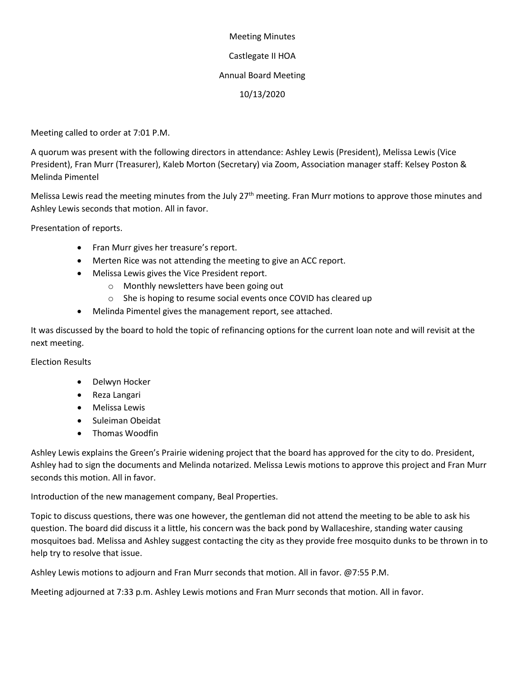# Meeting Minutes Castlegate II HOA Annual Board Meeting 10/13/2020

Meeting called to order at 7:01 P.M.

A quorum was present with the following directors in attendance: Ashley Lewis (President), Melissa Lewis (Vice President), Fran Murr (Treasurer), Kaleb Morton (Secretary) via Zoom, Association manager staff: Kelsey Poston & Melinda Pimentel

Melissa Lewis read the meeting minutes from the July 27<sup>th</sup> meeting. Fran Murr motions to approve those minutes and Ashley Lewis seconds that motion. All in favor.

Presentation of reports.

- Fran Murr gives her treasure's report.
- Merten Rice was not attending the meeting to give an ACC report.
- Melissa Lewis gives the Vice President report.
	- o Monthly newsletters have been going out
	- o She is hoping to resume social events once COVID has cleared up
- Melinda Pimentel gives the management report, see attached.

It was discussed by the board to hold the topic of refinancing options for the current loan note and will revisit at the next meeting.

Election Results

- Delwyn Hocker
- Reza Langari
- Melissa Lewis
- Suleiman Obeidat
- Thomas Woodfin

Ashley Lewis explains the Green's Prairie widening project that the board has approved for the city to do. President, Ashley had to sign the documents and Melinda notarized. Melissa Lewis motions to approve this project and Fran Murr seconds this motion. All in favor.

Introduction of the new management company, Beal Properties.

Topic to discuss questions, there was one however, the gentleman did not attend the meeting to be able to ask his question. The board did discuss it a little, his concern was the back pond by Wallaceshire, standing water causing mosquitoes bad. Melissa and Ashley suggest contacting the city as they provide free mosquito dunks to be thrown in to help try to resolve that issue.

Ashley Lewis motions to adjourn and Fran Murr seconds that motion. All in favor. @7:55 P.M.

Meeting adjourned at 7:33 p.m. Ashley Lewis motions and Fran Murr seconds that motion. All in favor.